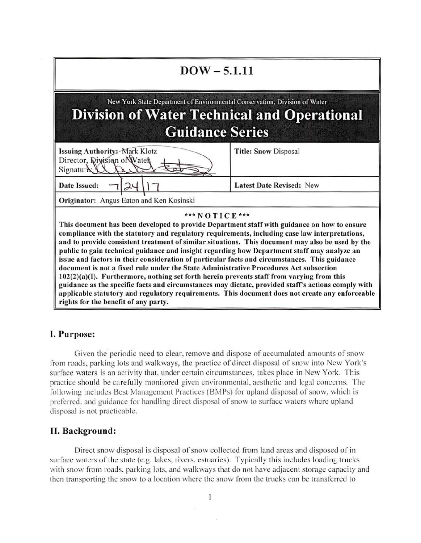| $DOW - 5.1.11$                                                                                                                                                                                                                                                                                                                                                                                                                                                                                                                                                                                                                                                                                                                                                                                                                                                                                                                                             |                                 |
|------------------------------------------------------------------------------------------------------------------------------------------------------------------------------------------------------------------------------------------------------------------------------------------------------------------------------------------------------------------------------------------------------------------------------------------------------------------------------------------------------------------------------------------------------------------------------------------------------------------------------------------------------------------------------------------------------------------------------------------------------------------------------------------------------------------------------------------------------------------------------------------------------------------------------------------------------------|---------------------------------|
| New York State Department of Environmental Conservation, Division of Water<br><b>Division of Water Technical and Operational</b><br><b>Guidance Series</b>                                                                                                                                                                                                                                                                                                                                                                                                                                                                                                                                                                                                                                                                                                                                                                                                 |                                 |
| Issuing Authority: Mark Klotz<br>Director, Rivision of Water<br>Signature                                                                                                                                                                                                                                                                                                                                                                                                                                                                                                                                                                                                                                                                                                                                                                                                                                                                                  | <b>Title: Snow Disposal</b>     |
| <b>Date Issued:</b>                                                                                                                                                                                                                                                                                                                                                                                                                                                                                                                                                                                                                                                                                                                                                                                                                                                                                                                                        | <b>Latest Date Revised: New</b> |
| Originator: Angus Eaton and Ken Kosinski                                                                                                                                                                                                                                                                                                                                                                                                                                                                                                                                                                                                                                                                                                                                                                                                                                                                                                                   |                                 |
| *** NOTICE ***<br>This document has been developed to provide Department staff with guidance on how to ensure<br>compliance with the statutory and regulatory requirements, including case law interpretations,<br>and to provide consistent treatment of similar situations. This document may also be used by the<br>public to gain technical guidance and insight regarding how Department staff may analyze an<br>issue and factors in their consideration of particular facts and circumstances. This guidance<br>document is not a fixed rule under the State Administrative Procedures Act subsection<br>102(2)(a)(I). Furthermore, nothing set forth herein prevents staff from varying from this<br>guidance as the specific facts and circumstances may dictate, provided staff's actions comply with<br>applicable statutory and regulatory requirements. This document does not create any enforceable<br>rights for the benefit of any party. |                                 |

# I. Purpose:

Given the periodic need to clear, remove and dispose of accumulated amounts of snow from roads, parking lots and walkways, the practice of direct disposal of snow into New York's surface waters is an activity that, under certain circumstances, takes place in New York. This practice should be carefully monitored given environmental, aesthetic and legal concerns. The following includes Best Management Practices (BMPs) for upland disposal of snow, which is preferred, and guidance for handling direct disposal of snow to surface waters where upland disposal is not practicable.

# II. Background:

Direct snow disposal is disposal of snow collected from land areas and disposed of in surface waters of the state (e.g. lakes, rivers, estuaries). Typically this includes loading trucks with snow from roads, parking lots, and walkways that do not have adjacent storage capacity and then transporting the snow to a location where the snow from the trucks can be transferred to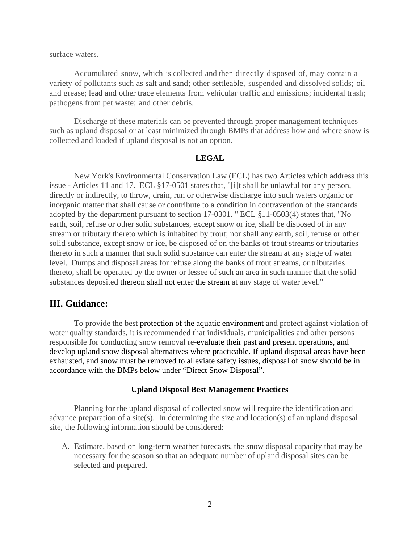surface waters.

Accumulated snow, which is collected and then directly disposed of, may contain a variety of pollutants such as salt and sand; other settleable, suspended and dissolved solids; oil and grease; lead and other trace elements from vehicular traffic and emissions; incidental trash; pathogens from pet waste; and other debris.

Discharge of these materials can be prevented through proper management techniques such as upland disposal or at least minimized through BMPs that address how and where snow is collected and loaded if upland disposal is not an option.

#### **LEGAL**

New York's Environmental Conservation Law (ECL) has two Articles which address this issue - Articles 11 and 17. ECL §17-0501 states that, "[i]t shall be unlawful for any person, directly or indirectly, to throw, drain, run or otherwise discharge into such waters organic or inorganic matter that shall cause or contribute to a condition in contravention of the standards adopted by the department pursuant to section 17-0301. " ECL §11-0503(4) states that, "No earth, soil, refuse or other solid substances, except snow or ice, shall be disposed of in any stream or tributary thereto which is inhabited by trout; nor shall any earth, soil, refuse or other solid substance, except snow or ice, be disposed of on the banks of trout streams or tributaries thereto in such a manner that such solid substance can enter the stream at any stage of water level. Dumps and disposal areas for refuse along the banks of trout streams, or tributaries thereto, shall be operated by the owner or lessee of such an area in such manner that the solid substances deposited thereon shall not enter the stream at any stage of water level."

# **III. Guidance:**

To provide the best protection of the aquatic environment and protect against violation of water quality standards, it is recommended that individuals, municipalities and other persons responsible for conducting snow removal re-evaluate their past and present operations, and develop upland snow disposal alternatives where practicable. If upland disposal areas have been exhausted, and snow must be removed to alleviate safety issues, disposal of snow should be in accordance with the BMPs below under "Direct Snow Disposal".

#### **Upland Disposal Best Management Practices**

Planning for the upland disposal of collected snow will require the identification and advance preparation of a site(s). In determining the size and location(s) of an upland disposal site, the following information should be considered:

A. Estimate, based on long-term weather forecasts, the snow disposal capacity that may be necessary for the season so that an adequate number of upland disposal sites can be selected and prepared.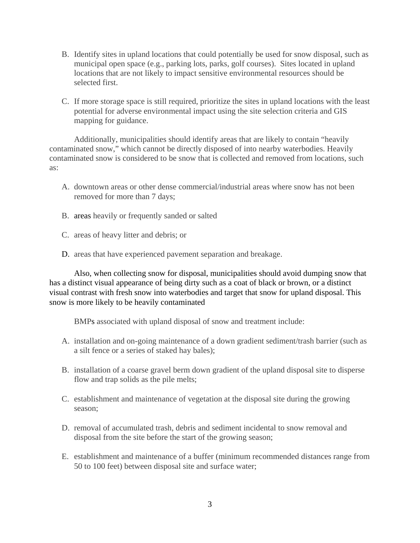- B. Identify sites in upland locations that could potentially be used for snow disposal, such as municipal open space (e.g., parking lots, parks, golf courses). Sites located in upland locations that are not likely to impact sensitive environmental resources should be selected first.
- C. If more storage space is still required, prioritize the sites in upland locations with the least potential for adverse environmental impact using the site selection criteria and GIS mapping for guidance.

Additionally, municipalities should identify areas that are likely to contain "heavily contaminated snow," which cannot be directly disposed of into nearby waterbodies. Heavily contaminated snow is considered to be snow that is collected and removed from locations, such as:

- A. downtown areas or other dense commercial/industrial areas where snow has not been removed for more than 7 days;
- B. areas heavily or frequently sanded or salted
- C. areas of heavy litter and debris; or
- D. areas that have experienced pavement separation and breakage.

 Also, when collecting snow for disposal, municipalities should avoid dumping snow that has a distinct visual appearance of being dirty such as a coat of black or brown, or a distinct visual contrast with fresh snow into waterbodies and target that snow for upland disposal. This snow is more likely to be heavily contaminated

BMPs associated with upland disposal of snow and treatment include:

- A. installation and on-going maintenance of a down gradient sediment/trash barrier (such as a silt fence or a series of staked hay bales);
- B. installation of a coarse gravel berm down gradient of the upland disposal site to disperse flow and trap solids as the pile melts;
- C. establishment and maintenance of vegetation at the disposal site during the growing season;
- D. removal of accumulated trash, debris and sediment incidental to snow removal and disposal from the site before the start of the growing season;
- E. establishment and maintenance of a buffer (minimum recommended distances range from 50 to 100 feet) between disposal site and surface water;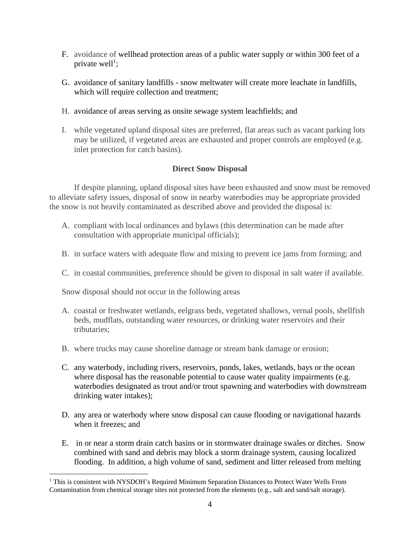- F. avoidance of wellhead protection areas of a public water supply or within 300 feet of a private well<sup>1</sup>;
- G. avoidance of sanitary landfills snow meltwater will create more leachate in landfills, which will require collection and treatment;
- H. avoidance of areas serving as onsite sewage system leachfields; and
- I. while vegetated upland disposal sites are preferred, flat areas such as vacant parking lots may be utilized, if vegetated areas are exhausted and proper controls are employed (e.g. inlet protection for catch basins).

## **Direct Snow Disposal**

 If despite planning, upland disposal sites have been exhausted and snow must be removed to alleviate safety issues, disposal of snow in nearby waterbodies may be appropriate provided the snow is not heavily contaminated as described above and provided the disposal is:

- A. compliant with local ordinances and bylaws (this determination can be made after consultation with appropriate municipal officials);
- B. in surface waters with adequate flow and mixing to prevent ice jams from forming; and
- C. in coastal communities, preference should be given to disposal in salt water if available.

Snow disposal should not occur in the following areas

 $\overline{a}$ 

- A. coastal or freshwater wetlands, eelgrass beds, vegetated shallows, vernal pools, shellfish beds, mudflats, outstanding water resources, or drinking water reservoirs and their tributaries;
- B. where trucks may cause shoreline damage or stream bank damage or erosion;
- C. any waterbody, including rivers, reservoirs, ponds, lakes, wetlands, bays or the ocean where disposal has the reasonable potential to cause water quality impairments (e.g. waterbodies designated as trout and/or trout spawning and waterbodies with downstream drinking water intakes);
- D. any area or waterbody where snow disposal can cause flooding or navigational hazards when it freezes; and
- E. in or near a storm drain catch basins or in stormwater drainage swales or ditches. Snow combined with sand and debris may block a storm drainage system, causing localized flooding. In addition, a high volume of sand, sediment and litter released from melting

<sup>&</sup>lt;sup>1</sup> This is consistent with NYSDOH's Required Minimum Separation Distances to Protect Water Wells From Contamination from chemical storage sites not protected from the elements (e.g., salt and sand/salt storage).